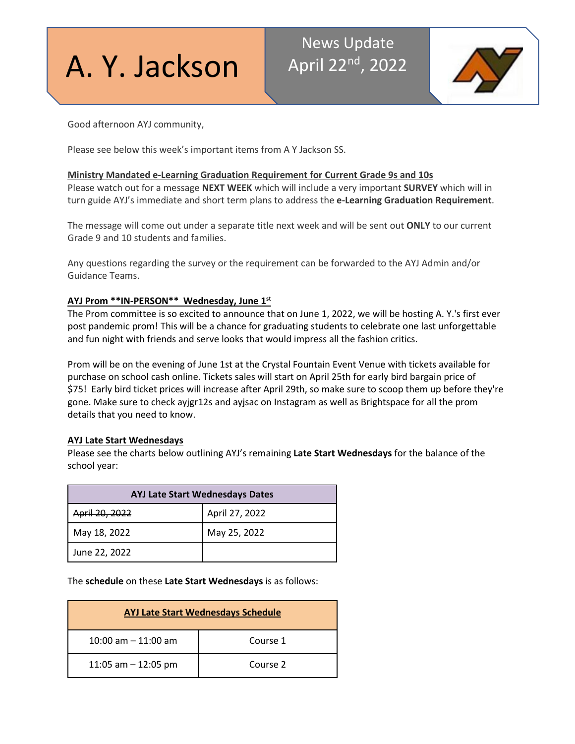# A. Y. Jackson

# News Update April 22<sup>nd</sup>, 2022



Good afternoon AYJ community,

Please see below this week's important items from A Y Jackson SS.

# **Ministry Mandated e-Learning Graduation Requirement for Current Grade 9s and 10s**

Please watch out for a message **NEXT WEEK** which will include a very important **SURVEY** which will in turn guide AYJ's immediate and short term plans to address the **e-Learning Graduation Requirement**.

The message will come out under a separate title next week and will be sent out **ONLY** to our current Grade 9 and 10 students and families.

Any questions regarding the survey or the requirement can be forwarded to the AYJ Admin and/or Guidance Teams.

# **AYJ Prom \*\*IN-PERSON\*\* Wednesday, June 1st**

The Prom committee is so excited to announce that on June 1, 2022, we will be hosting A. Y.'s first ever post pandemic prom! This will be a chance for graduating students to celebrate one last unforgettable and fun night with friends and serve looks that would impress all the fashion critics.

Prom will be on the evening of June 1st at the Crystal Fountain Event Venue with tickets available for purchase on school cash online. Tickets sales will start on April 25th for early bird bargain price of \$75! Early bird ticket prices will increase after April 29th, so make sure to scoop them up before they're gone. Make sure to check ayjgr12s and ayjsac on Instagram as well as Brightspace for all the prom details that you need to know.

# **AYJ Late Start Wednesdays**

Please see the charts below outlining AYJ's remaining **Late Start Wednesdays** for the balance of the school year:

| <b>AYJ Late Start Wednesdays Dates</b> |                |  |
|----------------------------------------|----------------|--|
| April 20, 2022                         | April 27, 2022 |  |
| May 18, 2022                           | May 25, 2022   |  |
| June 22, 2022                          |                |  |

The **schedule** on these **Late Start Wednesdays** is as follows:

| <b>AYJ Late Start Wednesdays Schedule</b> |          |
|-------------------------------------------|----------|
| 10:00 am $-$ 11:00 am                     | Course 1 |
| 11:05 am $-$ 12:05 pm                     | Course 2 |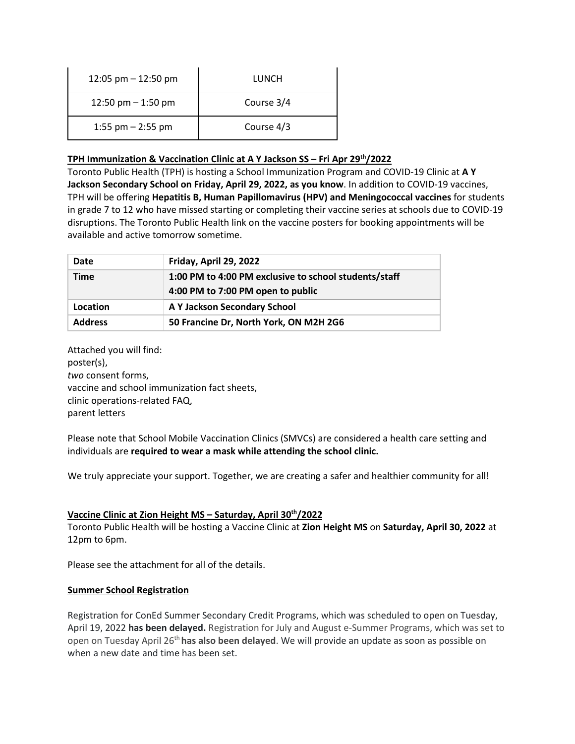| 12:05 pm $-$ 12:50 pm | LUNCH      |
|-----------------------|------------|
| 12:50 pm $-$ 1:50 pm  | Course 3/4 |
| 1:55 pm $-$ 2:55 pm   | Course 4/3 |

# **TPH Immunization & Vaccination Clinic at A Y Jackson SS – Fri Apr 29th/2022**

Toronto Public Health (TPH) is hosting a School Immunization Program and COVID-19 Clinic at **A Y Jackson Secondary School on Friday, April 29, 2022, as you know**. In addition to COVID-19 vaccines, TPH will be offering **Hepatitis B, Human Papillomavirus (HPV) and Meningococcal vaccines** for students in grade 7 to 12 who have missed starting or completing their vaccine series at schools due to COVID-19 disruptions. The Toronto Public Health link on the vaccine posters for booking appointments will be available and active tomorrow sometime.

| Date           | Friday, April 29, 2022                                                                     |
|----------------|--------------------------------------------------------------------------------------------|
| <b>Time</b>    | 1:00 PM to 4:00 PM exclusive to school students/staff<br>4:00 PM to 7:00 PM open to public |
| Location       | A Y Jackson Secondary School                                                               |
| <b>Address</b> | 50 Francine Dr, North York, ON M2H 2G6                                                     |

Attached you will find: poster(s), *two* consent forms, vaccine and school immunization fact sheets, clinic operations-related FAQ, parent letters

Please note that School Mobile Vaccination Clinics (SMVCs) are considered a health care setting and individuals are **required to wear a mask while attending the school clinic.**

We truly appreciate your support. Together, we are creating a safer and healthier community for all!

# **Vaccine Clinic at Zion Height MS – Saturday, April 30th/2022**

Toronto Public Health will be hosting a Vaccine Clinic at **Zion Height MS** on **Saturday, April 30, 2022** at 12pm to 6pm.

Please see the attachment for all of the details.

# **Summer School Registration**

Registration for ConEd Summer Secondary Credit Programs, which was scheduled to open on Tuesday, April 19, 2022 **has been delayed.** Registration for July and August e-Summer Programs, which was set to open on Tuesday April 26th **has also been delayed**. We will provide an update as soon as possible on when a new date and time has been set.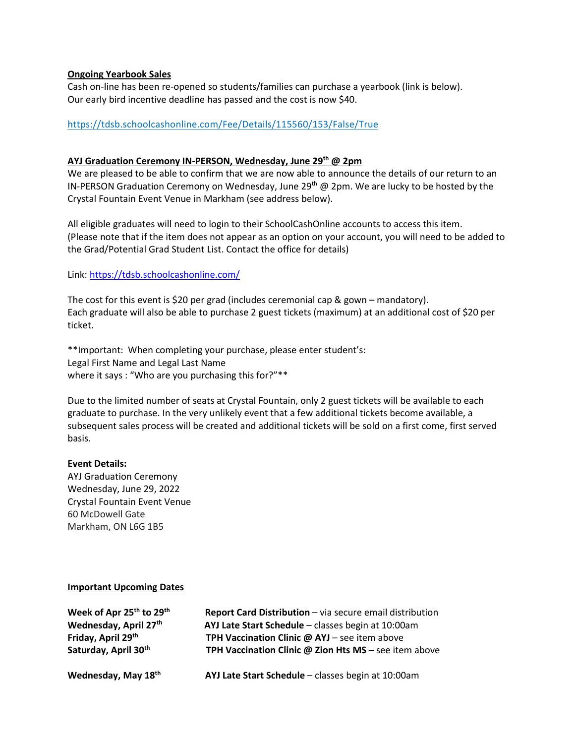#### **Ongoing Yearbook Sales**

Cash on-line has been re-opened so students/families can purchase a yearbook (link is below). Our early bird incentive deadline has passed and the cost is now \$40.

#### <https://tdsb.schoolcashonline.com/Fee/Details/115560/153/False/True>

#### **AYJ Graduation Ceremony IN-PERSON, Wednesday, June 29th @ 2pm**

We are pleased to be able to confirm that we are now able to announce the details of our return to an IN-PERSON Graduation Ceremony on Wednesday, June 29<sup>th</sup> @ 2pm. We are lucky to be hosted by the Crystal Fountain Event Venue in Markham (see address below).

All eligible graduates will need to login to their SchoolCashOnline accounts to access this item. (Please note that if the item does not appear as an option on your account, you will need to be added to the Grad/Potential Grad Student List. Contact the office for details)

Link:<https://tdsb.schoolcashonline.com/>

The cost for this event is \$20 per grad (includes ceremonial cap & gown – mandatory). Each graduate will also be able to purchase 2 guest tickets (maximum) at an additional cost of \$20 per ticket.

\*\*Important: When completing your purchase, please enter student's: Legal First Name and Legal Last Name where it says : "Who are you purchasing this for?"\*\*

Due to the limited number of seats at Crystal Fountain, only 2 guest tickets will be available to each graduate to purchase. In the very unlikely event that a few additional tickets become available, a subsequent sales process will be created and additional tickets will be sold on a first come, first served basis.

#### **Event Details:**

AYJ Graduation Ceremony Wednesday, June 29, 2022 Crystal Fountain Event Venue 60 McDowell Gate Markham, ON L6G 1B5

#### **Important Upcoming Dates**

| Week of Apr 25th to 29th | Report Card Distribution - via secure email distribution     |
|--------------------------|--------------------------------------------------------------|
| Wednesday, April 27th    | AYJ Late Start Schedule - classes begin at 10:00am           |
| Friday, April 29th       | TPH Vaccination Clinic @ AYJ - see item above                |
| Saturday, April 30th     | TPH Vaccination Clinic $\omega$ Zion Hts MS - see item above |
| Wednesday, May 18th      | AYJ Late Start Schedule - classes begin at 10:00am           |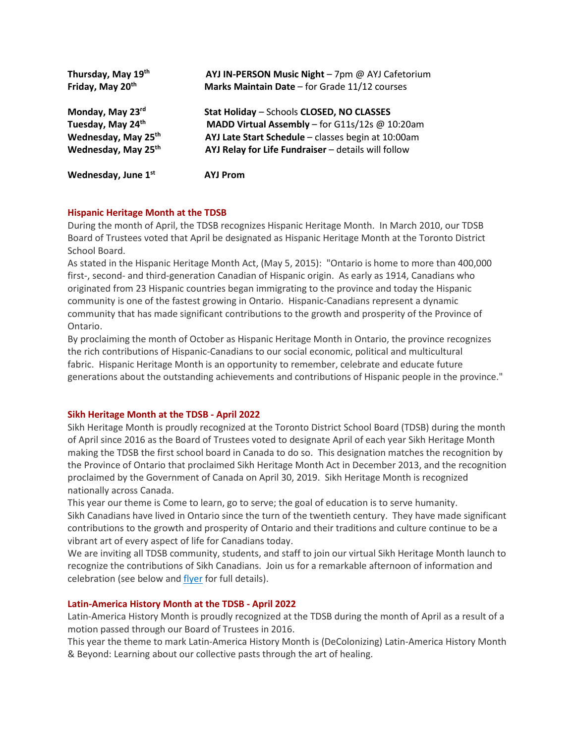| Thursday, May 19th              | AYJ IN-PERSON Music Night - 7pm @ AYJ Cafetorium    |
|---------------------------------|-----------------------------------------------------|
| Friday, May 20th                | Marks Maintain Date - for Grade 11/12 courses       |
| Monday, May 23rd                | Stat Holiday - Schools CLOSED, NO CLASSES           |
| Tuesday, May 24th               | MADD Virtual Assembly - for G11s/12s @ 10:20am      |
| Wednesday, May 25 <sup>th</sup> | AYJ Late Start Schedule - classes begin at 10:00am  |
| Wednesday, May 25 <sup>th</sup> | AYJ Relay for Life Fundraiser - details will follow |
| Wednesday, June 1st             | AYJ Prom                                            |

# **Hispanic Heritage Month at the TDSB**

During the month of April, the TDSB recognizes Hispanic Heritage Month. In March 2010, our TDSB Board of Trustees voted that April be designated as Hispanic Heritage Month at the Toronto District School Board.

As stated in the Hispanic Heritage Month Act, (May 5, 2015): "Ontario is home to more than 400,000 first-, second- and third-generation Canadian of Hispanic origin. As early as 1914, Canadians who originated from 23 Hispanic countries began immigrating to the province and today the Hispanic community is one of the fastest growing in Ontario. Hispanic-Canadians represent a dynamic community that has made significant contributions to the growth and prosperity of the Province of Ontario.

By proclaiming the month of October as Hispanic Heritage Month in Ontario, the province recognizes the rich contributions of Hispanic-Canadians to our social economic, political and multicultural fabric. Hispanic Heritage Month is an opportunity to remember, celebrate and educate future generations about the outstanding achievements and contributions of Hispanic people in the province."

#### **Sikh Heritage Month at the TDSB - April 2022**

Sikh Heritage Month is proudly recognized at the Toronto District School Board (TDSB) during the month of April since 2016 as the Board of Trustees voted to designate April of each year Sikh Heritage Month making the TDSB the first school board in Canada to do so. This designation matches the recognition by the Province of Ontario that proclaimed Sikh Heritage Month Act in December 2013, and the recognition proclaimed by the Government of Canada on April 30, 2019. Sikh Heritage Month is recognized nationally across Canada.

This year our theme is Come to learn, go to serve; the goal of education is to serve humanity. Sikh Canadians have lived in Ontario since the turn of the twentieth century. They have made significant contributions to the growth and prosperity of Ontario and their traditions and culture continue to be a vibrant art of every aspect of life for Canadians today.

We are inviting all TDSB community, students, and staff to join our virtual Sikh Heritage Month launch to recognize the contributions of Sikh Canadians. Join us for a remarkable afternoon of information and celebration (see below and [flyer](https://drive.google.com/file/d/1o5mtJDq1DHUUEWlT7kEZ69ThIwZyZZqo/view?usp=sharing) for full details).

#### **Latin-America History Month at the TDSB - April 2022**

Latin-America History Month is proudly recognized at the TDSB during the month of April as a result of a motion passed through our Board of Trustees in 2016.

This year the theme to mark Latin-America History Month is (DeColonizing) Latin-America History Month & Beyond: Learning about our collective pasts through the art of healing.